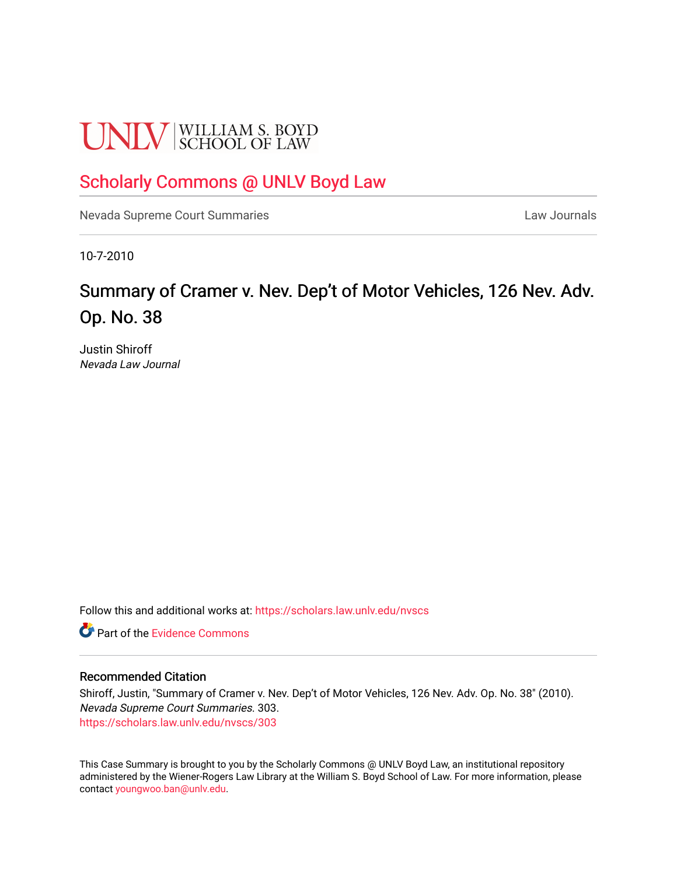# **UNLV** SCHOOL OF LAW

## [Scholarly Commons @ UNLV Boyd Law](https://scholars.law.unlv.edu/)

[Nevada Supreme Court Summaries](https://scholars.law.unlv.edu/nvscs) **Law Journals** Law Journals

10-7-2010

# Summary of Cramer v. Nev. Dep't of Motor Vehicles, 126 Nev. Adv. Op. No. 38

Justin Shiroff Nevada Law Journal

Follow this and additional works at: [https://scholars.law.unlv.edu/nvscs](https://scholars.law.unlv.edu/nvscs?utm_source=scholars.law.unlv.edu%2Fnvscs%2F303&utm_medium=PDF&utm_campaign=PDFCoverPages)

**C** Part of the Evidence Commons

#### Recommended Citation

Shiroff, Justin, "Summary of Cramer v. Nev. Dep't of Motor Vehicles, 126 Nev. Adv. Op. No. 38" (2010). Nevada Supreme Court Summaries. 303. [https://scholars.law.unlv.edu/nvscs/303](https://scholars.law.unlv.edu/nvscs/303?utm_source=scholars.law.unlv.edu%2Fnvscs%2F303&utm_medium=PDF&utm_campaign=PDFCoverPages)

This Case Summary is brought to you by the Scholarly Commons @ UNLV Boyd Law, an institutional repository administered by the Wiener-Rogers Law Library at the William S. Boyd School of Law. For more information, please contact [youngwoo.ban@unlv.edu](mailto:youngwoo.ban@unlv.edu).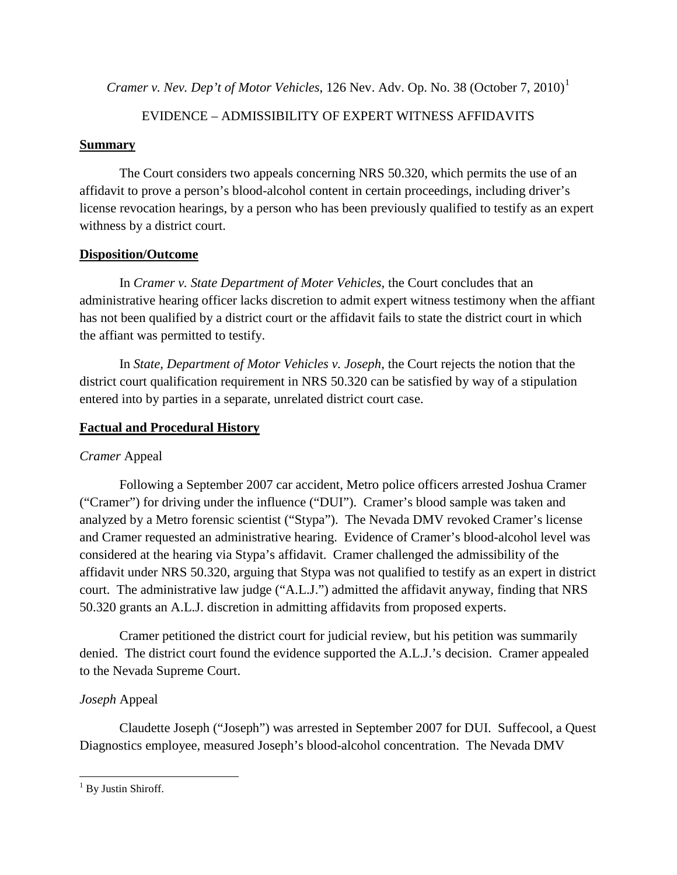*Cramer v. Nev. Dep't of Motor Vehicles,* [1](#page-1-0)26 Nev. Adv. Op. No. 38 (October 7, 2010)<sup>1</sup>

## EVIDENCE – ADMISSIBILITY OF EXPERT WITNESS AFFIDAVITS

### **Summary**

The Court considers two appeals concerning NRS 50.320, which permits the use of an affidavit to prove a person's blood-alcohol content in certain proceedings, including driver's license revocation hearings, by a person who has been previously qualified to testify as an expert withness by a district court.

## **Disposition/Outcome**

In *Cramer v. State Department of Moter Vehicles*, the Court concludes that an administrative hearing officer lacks discretion to admit expert witness testimony when the affiant has not been qualified by a district court or the affidavit fails to state the district court in which the affiant was permitted to testify.

In *State, Department of Motor Vehicles v. Joseph*, the Court rejects the notion that the district court qualification requirement in NRS 50.320 can be satisfied by way of a stipulation entered into by parties in a separate, unrelated district court case.

## **Factual and Procedural History**

## *Cramer* Appeal

Following a September 2007 car accident, Metro police officers arrested Joshua Cramer ("Cramer") for driving under the influence ("DUI"). Cramer's blood sample was taken and analyzed by a Metro forensic scientist ("Stypa"). The Nevada DMV revoked Cramer's license and Cramer requested an administrative hearing. Evidence of Cramer's blood-alcohol level was considered at the hearing via Stypa's affidavit. Cramer challenged the admissibility of the affidavit under NRS 50.320, arguing that Stypa was not qualified to testify as an expert in district court. The administrative law judge ("A.L.J.") admitted the affidavit anyway, finding that NRS 50.320 grants an A.L.J. discretion in admitting affidavits from proposed experts.

Cramer petitioned the district court for judicial review, but his petition was summarily denied. The district court found the evidence supported the A.L.J.'s decision. Cramer appealed to the Nevada Supreme Court.

## *Joseph* Appeal

Claudette Joseph ("Joseph") was arrested in September 2007 for DUI. Suffecool, a Quest Diagnostics employee, measured Joseph's blood-alcohol concentration. The Nevada DMV

<span id="page-1-0"></span><sup>&</sup>lt;sup>1</sup> By Justin Shiroff.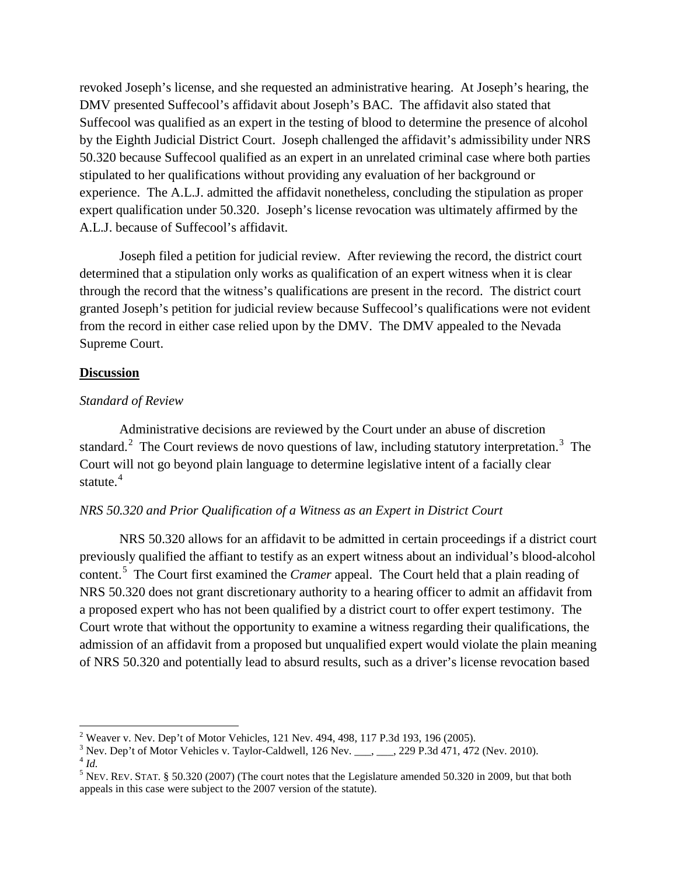revoked Joseph's license, and she requested an administrative hearing. At Joseph's hearing, the DMV presented Suffecool's affidavit about Joseph's BAC. The affidavit also stated that Suffecool was qualified as an expert in the testing of blood to determine the presence of alcohol by the Eighth Judicial District Court. Joseph challenged the affidavit's admissibility under NRS 50.320 because Suffecool qualified as an expert in an unrelated criminal case where both parties stipulated to her qualifications without providing any evaluation of her background or experience. The A.L.J. admitted the affidavit nonetheless, concluding the stipulation as proper expert qualification under 50.320. Joseph's license revocation was ultimately affirmed by the A.L.J. because of Suffecool's affidavit.

Joseph filed a petition for judicial review. After reviewing the record, the district court determined that a stipulation only works as qualification of an expert witness when it is clear through the record that the witness's qualifications are present in the record. The district court granted Joseph's petition for judicial review because Suffecool's qualifications were not evident from the record in either case relied upon by the DMV. The DMV appealed to the Nevada Supreme Court.

#### **Discussion**

#### *Standard of Review*

Administrative decisions are reviewed by the Court under an abuse of discretion standard.<sup>[2](#page-2-0)</sup> The Court reviews de novo questions of law, including statutory interpretation.<sup>[3](#page-2-1)</sup> The Court will not go beyond plain language to determine legislative intent of a facially clear statute.<sup>[4](#page-2-2)</sup>

#### *NRS 50.320 and Prior Qualification of a Witness as an Expert in District Court*

NRS 50.320 allows for an affidavit to be admitted in certain proceedings if a district court previously qualified the affiant to testify as an expert witness about an individual's blood-alcohol content.[5](#page-2-3) The Court first examined the *Cramer* appeal. The Court held that a plain reading of NRS 50.320 does not grant discretionary authority to a hearing officer to admit an affidavit from a proposed expert who has not been qualified by a district court to offer expert testimony. The Court wrote that without the opportunity to examine a witness regarding their qualifications, the admission of an affidavit from a proposed but unqualified expert would violate the plain meaning of NRS 50.320 and potentially lead to absurd results, such as a driver's license revocation based

<span id="page-2-1"></span><span id="page-2-0"></span><sup>2</sup> Weaver v. Nev. Dep't of Motor Vehicles, 121 Nev. 494, 498, 117 P.3d 193, 196 (2005).

<span id="page-2-2"></span><sup>&</sup>lt;sup>3</sup> Nev. Dep't of Motor Vehicles v. Taylor-Caldwell, 126 Nev. \_\_\_, \_\_\_, 229 P.3d 471, 472 (Nev. 2010).  $4$  *Id.* 

<span id="page-2-3"></span><sup>&</sup>lt;sup>5</sup> NEV. REV. STAT. § 50.320 (2007) (The court notes that the Legislature amended 50.320 in 2009, but that both appeals in this case were subject to the 2007 version of the statute).